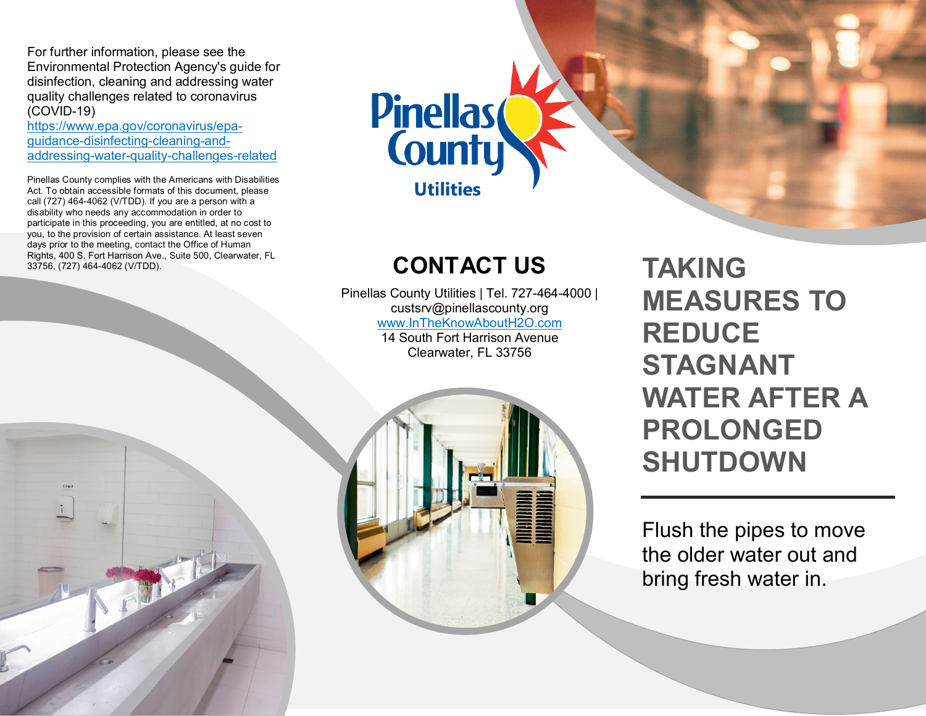For further information, please see the Environmental Protection Agency's guide for disinfection, cleaning and addressing water quality challenges related to coronavirus (COVID-19)

[https://www.epa.gov/coronavirus/epa](https://www.epa.gov/coronavirus/epa-guidance-disinfecting-cleaning-and-addressing-water-quality-challenges-related)guidance-disinfecting-cleaning-and-<br>addressing-water-quality-challenges-related

 participate in this proceeding, you are entitled, at no cost to you, to the provision of certain assistance. At least seven days prior to the meeting, contact the Office of Human Pinellas County complies with the Americans with Disabilities Act. To obtain accessible formats of this document, please call (727) 464-4062 (V/TDD). If you are a person with a disability who needs any accommodation in order to Rights, 400 S. Fort Harrison Ave., Suite 500, Clearwater, FL

....

 $\frac{1}{2}$ 



# **CONTACT US**

 Pinellas County Utilities | Tel. 727-464-4000 | custsrv@pinellascounty.org [www.InTheKnowAboutH2O.com](http://www.intheknowabouth2o.com/)  14 South Fort Harrison Avenue Clearwater, FL 33756

**TAKING MEASURES TO REDUCE STAGNANT WATER AFTER A PROLONGED SHUTDOWN** 

Flush the pipes to move the older water out and bring fresh water in.